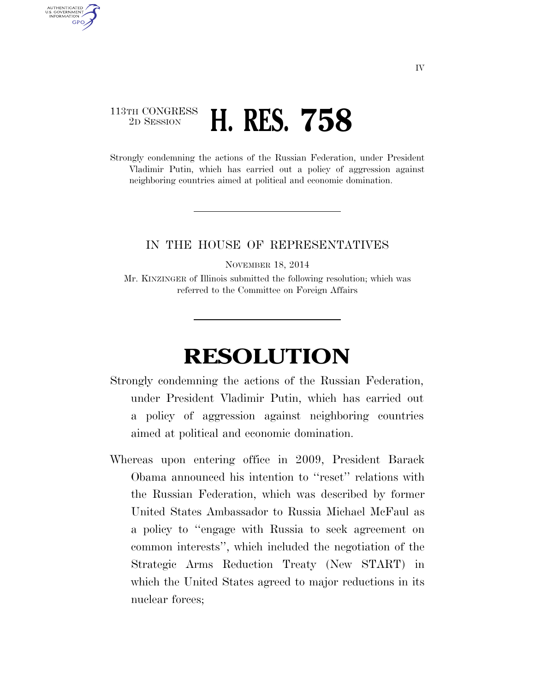## 113TH CONGRESS <sup>2D SESSION</sup> **H. RES. 758**

AUTHENTICATED U.S. GOVERNMENT GPO

> Strongly condemning the actions of the Russian Federation, under President Vladimir Putin, which has carried out a policy of aggression against neighboring countries aimed at political and economic domination.

## IN THE HOUSE OF REPRESENTATIVES

NOVEMBER 18, 2014

Mr. KINZINGER of Illinois submitted the following resolution; which was referred to the Committee on Foreign Affairs

## **RESOLUTION**

- Strongly condemning the actions of the Russian Federation, under President Vladimir Putin, which has carried out a policy of aggression against neighboring countries aimed at political and economic domination.
- Whereas upon entering office in 2009, President Barack Obama announced his intention to ''reset'' relations with the Russian Federation, which was described by former United States Ambassador to Russia Michael McFaul as a policy to ''engage with Russia to seek agreement on common interests'', which included the negotiation of the Strategic Arms Reduction Treaty (New START) in which the United States agreed to major reductions in its nuclear forces;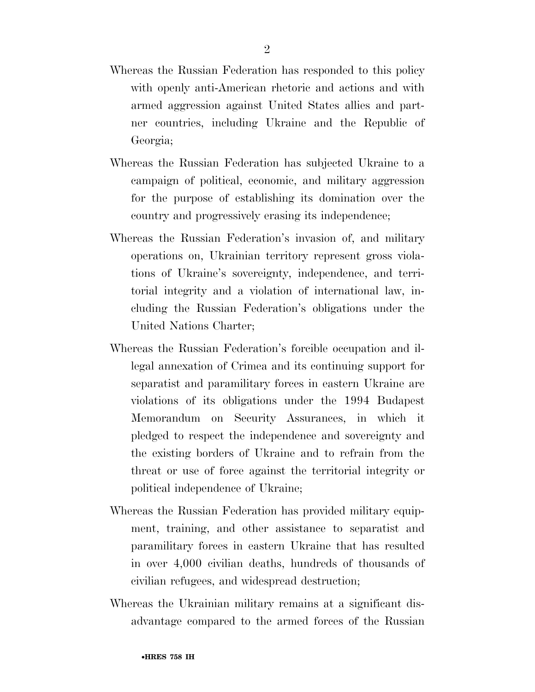- Whereas the Russian Federation has responded to this policy with openly anti-American rhetoric and actions and with armed aggression against United States allies and partner countries, including Ukraine and the Republic of Georgia;
- Whereas the Russian Federation has subjected Ukraine to a campaign of political, economic, and military aggression for the purpose of establishing its domination over the country and progressively erasing its independence;
- Whereas the Russian Federation's invasion of, and military operations on, Ukrainian territory represent gross violations of Ukraine's sovereignty, independence, and territorial integrity and a violation of international law, including the Russian Federation's obligations under the United Nations Charter;
- Whereas the Russian Federation's forcible occupation and illegal annexation of Crimea and its continuing support for separatist and paramilitary forces in eastern Ukraine are violations of its obligations under the 1994 Budapest Memorandum on Security Assurances, in which it pledged to respect the independence and sovereignty and the existing borders of Ukraine and to refrain from the threat or use of force against the territorial integrity or political independence of Ukraine;
- Whereas the Russian Federation has provided military equipment, training, and other assistance to separatist and paramilitary forces in eastern Ukraine that has resulted in over 4,000 civilian deaths, hundreds of thousands of civilian refugees, and widespread destruction;
- Whereas the Ukrainian military remains at a significant disadvantage compared to the armed forces of the Russian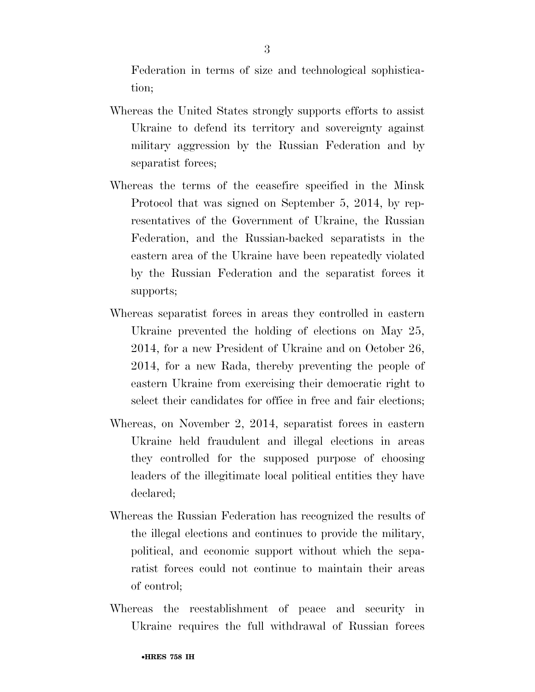Federation in terms of size and technological sophistication;

- Whereas the United States strongly supports efforts to assist Ukraine to defend its territory and sovereignty against military aggression by the Russian Federation and by separatist forces;
- Whereas the terms of the ceasefire specified in the Minsk Protocol that was signed on September 5, 2014, by representatives of the Government of Ukraine, the Russian Federation, and the Russian-backed separatists in the eastern area of the Ukraine have been repeatedly violated by the Russian Federation and the separatist forces it supports;
- Whereas separatist forces in areas they controlled in eastern Ukraine prevented the holding of elections on May 25, 2014, for a new President of Ukraine and on October 26, 2014, for a new Rada, thereby preventing the people of eastern Ukraine from exercising their democratic right to select their candidates for office in free and fair elections;
- Whereas, on November 2, 2014, separatist forces in eastern Ukraine held fraudulent and illegal elections in areas they controlled for the supposed purpose of choosing leaders of the illegitimate local political entities they have declared;
- Whereas the Russian Federation has recognized the results of the illegal elections and continues to provide the military, political, and economic support without which the separatist forces could not continue to maintain their areas of control;
- Whereas the reestablishment of peace and security in Ukraine requires the full withdrawal of Russian forces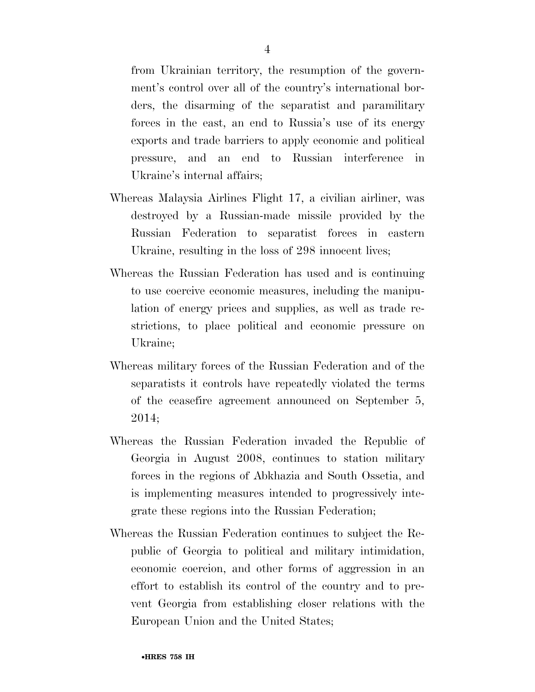from Ukrainian territory, the resumption of the government's control over all of the country's international borders, the disarming of the separatist and paramilitary forces in the east, an end to Russia's use of its energy exports and trade barriers to apply economic and political pressure, and an end to Russian interference in Ukraine's internal affairs;

- Whereas Malaysia Airlines Flight 17, a civilian airliner, was destroyed by a Russian-made missile provided by the Russian Federation to separatist forces in eastern Ukraine, resulting in the loss of 298 innocent lives;
- Whereas the Russian Federation has used and is continuing to use coercive economic measures, including the manipulation of energy prices and supplies, as well as trade restrictions, to place political and economic pressure on Ukraine;
- Whereas military forces of the Russian Federation and of the separatists it controls have repeatedly violated the terms of the ceasefire agreement announced on September 5, 2014;
- Whereas the Russian Federation invaded the Republic of Georgia in August 2008, continues to station military forces in the regions of Abkhazia and South Ossetia, and is implementing measures intended to progressively integrate these regions into the Russian Federation;
- Whereas the Russian Federation continues to subject the Republic of Georgia to political and military intimidation, economic coercion, and other forms of aggression in an effort to establish its control of the country and to prevent Georgia from establishing closer relations with the European Union and the United States;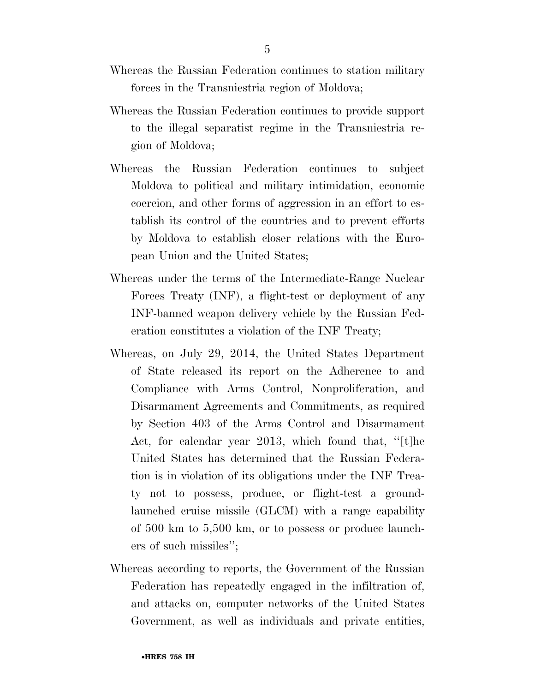- Whereas the Russian Federation continues to station military forces in the Transniestria region of Moldova;
- Whereas the Russian Federation continues to provide support to the illegal separatist regime in the Transniestria region of Moldova;
- Whereas the Russian Federation continues to subject Moldova to political and military intimidation, economic coercion, and other forms of aggression in an effort to establish its control of the countries and to prevent efforts by Moldova to establish closer relations with the European Union and the United States;
- Whereas under the terms of the Intermediate-Range Nuclear Forces Treaty (INF), a flight-test or deployment of any INF-banned weapon delivery vehicle by the Russian Federation constitutes a violation of the INF Treaty;
- Whereas, on July 29, 2014, the United States Department of State released its report on the Adherence to and Compliance with Arms Control, Nonproliferation, and Disarmament Agreements and Commitments, as required by Section 403 of the Arms Control and Disarmament Act, for calendar year 2013, which found that, ''[t]he United States has determined that the Russian Federation is in violation of its obligations under the INF Treaty not to possess, produce, or flight-test a groundlaunched cruise missile (GLCM) with a range capability of 500 km to 5,500 km, or to possess or produce launchers of such missiles'';
- Whereas according to reports, the Government of the Russian Federation has repeatedly engaged in the infiltration of, and attacks on, computer networks of the United States Government, as well as individuals and private entities,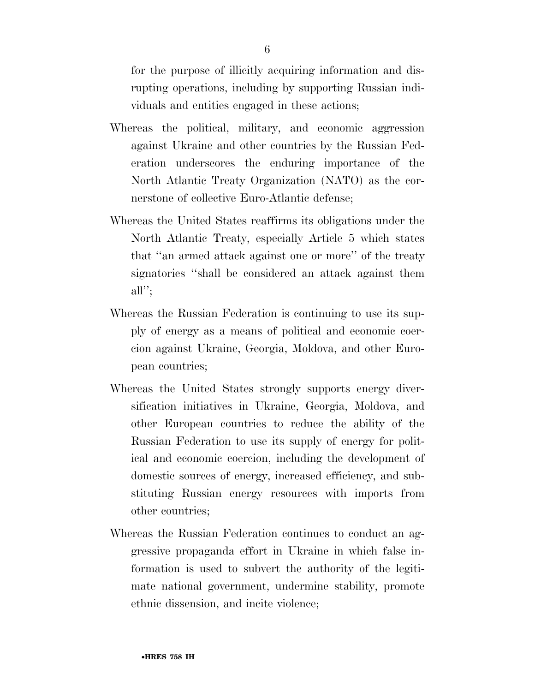for the purpose of illicitly acquiring information and disrupting operations, including by supporting Russian individuals and entities engaged in these actions;

- Whereas the political, military, and economic aggression against Ukraine and other countries by the Russian Federation underscores the enduring importance of the North Atlantic Treaty Organization (NATO) as the cornerstone of collective Euro-Atlantic defense;
- Whereas the United States reaffirms its obligations under the North Atlantic Treaty, especially Article 5 which states that ''an armed attack against one or more'' of the treaty signatories ''shall be considered an attack against them all'';
- Whereas the Russian Federation is continuing to use its supply of energy as a means of political and economic coercion against Ukraine, Georgia, Moldova, and other European countries;
- Whereas the United States strongly supports energy diversification initiatives in Ukraine, Georgia, Moldova, and other European countries to reduce the ability of the Russian Federation to use its supply of energy for political and economic coercion, including the development of domestic sources of energy, increased efficiency, and substituting Russian energy resources with imports from other countries;
- Whereas the Russian Federation continues to conduct an aggressive propaganda effort in Ukraine in which false information is used to subvert the authority of the legitimate national government, undermine stability, promote ethnic dissension, and incite violence;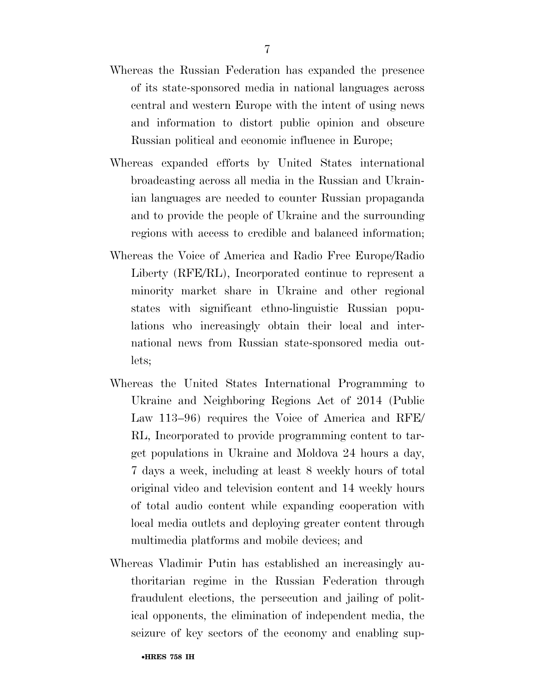- Whereas the Russian Federation has expanded the presence of its state-sponsored media in national languages across central and western Europe with the intent of using news and information to distort public opinion and obscure Russian political and economic influence in Europe;
- Whereas expanded efforts by United States international broadcasting across all media in the Russian and Ukrainian languages are needed to counter Russian propaganda and to provide the people of Ukraine and the surrounding regions with access to credible and balanced information;
- Whereas the Voice of America and Radio Free Europe/Radio Liberty (RFE/RL), Incorporated continue to represent a minority market share in Ukraine and other regional states with significant ethno-linguistic Russian populations who increasingly obtain their local and international news from Russian state-sponsored media outlets;
- Whereas the United States International Programming to Ukraine and Neighboring Regions Act of 2014 (Public Law 113–96) requires the Voice of America and RFE/ RL, Incorporated to provide programming content to target populations in Ukraine and Moldova 24 hours a day, 7 days a week, including at least 8 weekly hours of total original video and television content and 14 weekly hours of total audio content while expanding cooperation with local media outlets and deploying greater content through multimedia platforms and mobile devices; and
- Whereas Vladimir Putin has established an increasingly authoritarian regime in the Russian Federation through fraudulent elections, the persecution and jailing of political opponents, the elimination of independent media, the seizure of key sectors of the economy and enabling sup-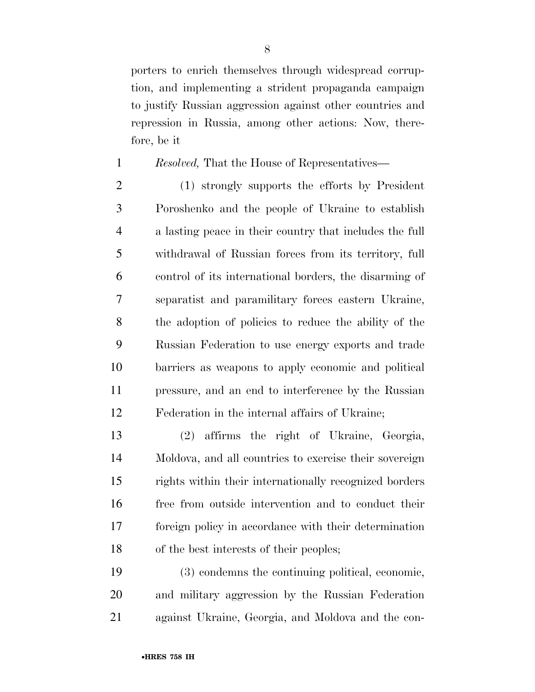porters to enrich themselves through widespread corruption, and implementing a strident propaganda campaign to justify Russian aggression against other countries and repression in Russia, among other actions: Now, therefore, be it

## *Resolved,* That the House of Representatives—

 (1) strongly supports the efforts by President Poroshenko and the people of Ukraine to establish a lasting peace in their country that includes the full withdrawal of Russian forces from its territory, full control of its international borders, the disarming of separatist and paramilitary forces eastern Ukraine, the adoption of policies to reduce the ability of the Russian Federation to use energy exports and trade barriers as weapons to apply economic and political pressure, and an end to interference by the Russian Federation in the internal affairs of Ukraine;

 (2) affirms the right of Ukraine, Georgia, Moldova, and all countries to exercise their sovereign rights within their internationally recognized borders free from outside intervention and to conduct their foreign policy in accordance with their determination of the best interests of their peoples;

 (3) condemns the continuing political, economic, and military aggression by the Russian Federation against Ukraine, Georgia, and Moldova and the con-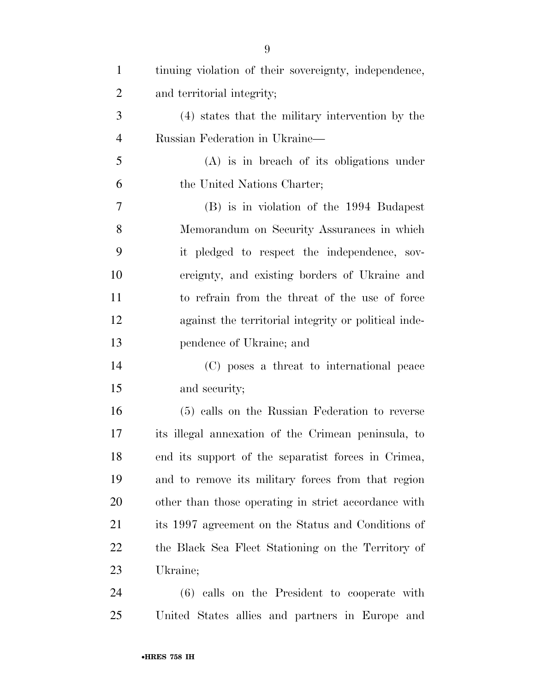| $\mathbf{1}$   | tinuing violation of their sovereignty, independence, |
|----------------|-------------------------------------------------------|
| $\overline{2}$ | and territorial integrity;                            |
| 3              | (4) states that the military intervention by the      |
| $\overline{4}$ | Russian Federation in Ukraine-                        |
| 5              | (A) is in breach of its obligations under             |
| 6              | the United Nations Charter;                           |
| 7              | (B) is in violation of the 1994 Budapest              |
| 8              | Memorandum on Security Assurances in which            |
| 9              | it pledged to respect the independence, sov-          |
| 10             | ereignty, and existing borders of Ukraine and         |
| 11             | to refrain from the threat of the use of force        |
| 12             | against the territorial integrity or political inde-  |
| 13             | pendence of Ukraine; and                              |
| 14             | (C) poses a threat to international peace             |
| 15             | and security;                                         |
| 16             | (5) calls on the Russian Federation to reverse        |
| 17             | its illegal annexation of the Crimean peninsula, to   |
| 18             | end its support of the separatist forces in Crimea,   |
| 19             | and to remove its military forces from that region    |
| 20             | other than those operating in strict accordance with  |
| 21             | its 1997 agreement on the Status and Conditions of    |
| 22             | the Black Sea Fleet Stationing on the Territory of    |
| 23             | Ukraine;                                              |
| 24             | (6) calls on the President to cooperate with          |
| 25             | United States allies and partners in Europe and       |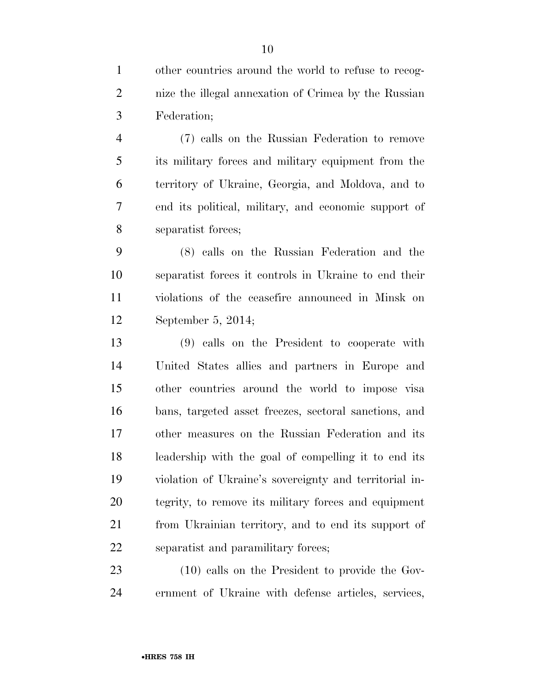other countries around the world to refuse to recog- nize the illegal annexation of Crimea by the Russian Federation;

 (7) calls on the Russian Federation to remove its military forces and military equipment from the territory of Ukraine, Georgia, and Moldova, and to end its political, military, and economic support of separatist forces;

 (8) calls on the Russian Federation and the separatist forces it controls in Ukraine to end their violations of the ceasefire announced in Minsk on September 5, 2014;

 (9) calls on the President to cooperate with United States allies and partners in Europe and other countries around the world to impose visa bans, targeted asset freezes, sectoral sanctions, and other measures on the Russian Federation and its leadership with the goal of compelling it to end its violation of Ukraine's sovereignty and territorial in- tegrity, to remove its military forces and equipment from Ukrainian territory, and to end its support of separatist and paramilitary forces;

 (10) calls on the President to provide the Gov-ernment of Ukraine with defense articles, services,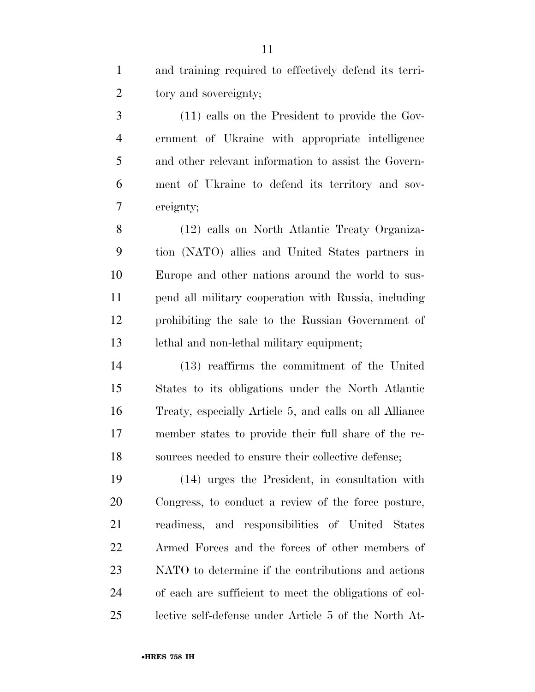and training required to effectively defend its terri-tory and sovereignty;

 (11) calls on the President to provide the Gov- ernment of Ukraine with appropriate intelligence and other relevant information to assist the Govern- ment of Ukraine to defend its territory and sov-ereignty;

 (12) calls on North Atlantic Treaty Organiza- tion (NATO) allies and United States partners in Europe and other nations around the world to sus- pend all military cooperation with Russia, including prohibiting the sale to the Russian Government of lethal and non-lethal military equipment;

 (13) reaffirms the commitment of the United States to its obligations under the North Atlantic Treaty, especially Article 5, and calls on all Alliance member states to provide their full share of the re-sources needed to ensure their collective defense;

 (14) urges the President, in consultation with Congress, to conduct a review of the force posture, readiness, and responsibilities of United States Armed Forces and the forces of other members of NATO to determine if the contributions and actions of each are sufficient to meet the obligations of col-lective self-defense under Article 5 of the North At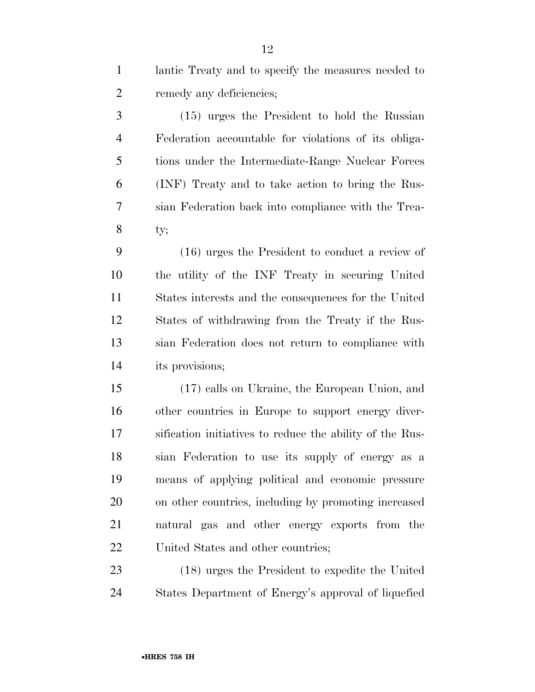lantic Treaty and to specify the measures needed to remedy any deficiencies;

 (15) urges the President to hold the Russian Federation accountable for violations of its obliga- tions under the Intermediate-Range Nuclear Forces (INF) Treaty and to take action to bring the Rus- sian Federation back into compliance with the Trea-ty;

 (16) urges the President to conduct a review of the utility of the INF Treaty in securing United States interests and the consequences for the United States of withdrawing from the Treaty if the Rus- sian Federation does not return to compliance with its provisions;

 (17) calls on Ukraine, the European Union, and other countries in Europe to support energy diver- sification initiatives to reduce the ability of the Rus- sian Federation to use its supply of energy as a means of applying political and economic pressure on other countries, including by promoting increased natural gas and other energy exports from the 22 United States and other countries;

 (18) urges the President to expedite the United States Department of Energy's approval of liquefied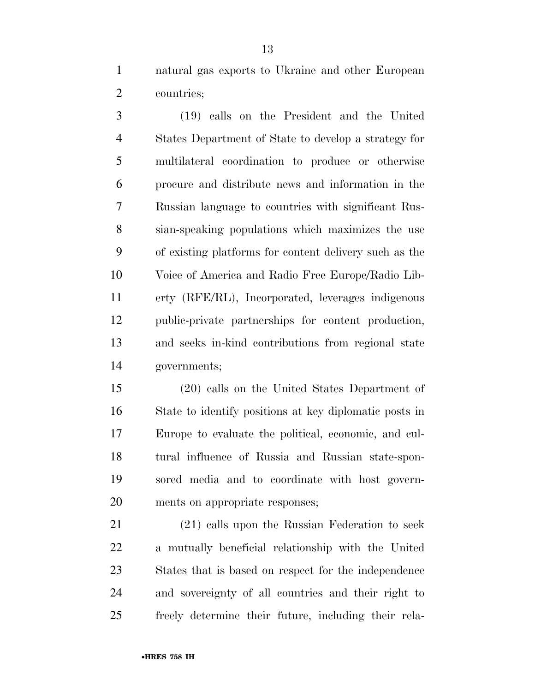natural gas exports to Ukraine and other European countries;

 (19) calls on the President and the United States Department of State to develop a strategy for multilateral coordination to produce or otherwise procure and distribute news and information in the Russian language to countries with significant Rus- sian-speaking populations which maximizes the use of existing platforms for content delivery such as the Voice of America and Radio Free Europe/Radio Lib- erty (RFE/RL), Incorporated, leverages indigenous public-private partnerships for content production, and seeks in-kind contributions from regional state governments;

 (20) calls on the United States Department of State to identify positions at key diplomatic posts in Europe to evaluate the political, economic, and cul- tural influence of Russia and Russian state-spon- sored media and to coordinate with host govern-ments on appropriate responses;

 (21) calls upon the Russian Federation to seek a mutually beneficial relationship with the United States that is based on respect for the independence and sovereignty of all countries and their right to freely determine their future, including their rela-